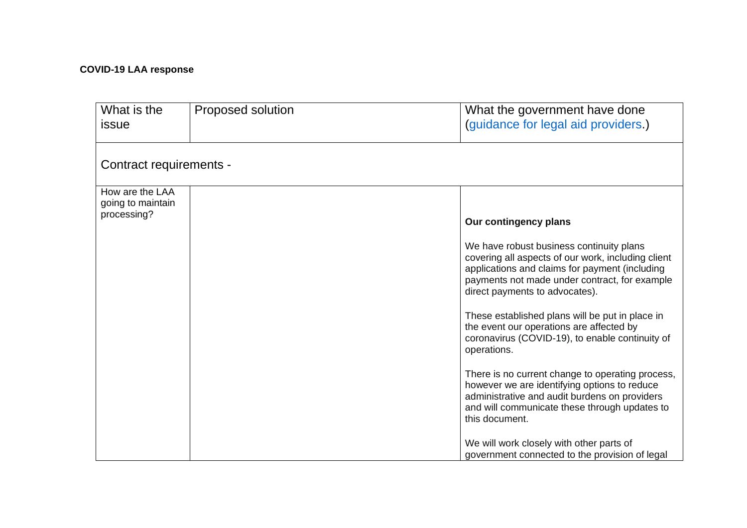## **COVID-19 LAA response**

| What is the<br>issue                 | Proposed solution | What the government have done<br>(guidance for legal aid providers.)                                                                                                                                                                |
|--------------------------------------|-------------------|-------------------------------------------------------------------------------------------------------------------------------------------------------------------------------------------------------------------------------------|
|                                      |                   |                                                                                                                                                                                                                                     |
| Contract requirements -              |                   |                                                                                                                                                                                                                                     |
| How are the LAA<br>going to maintain |                   |                                                                                                                                                                                                                                     |
| processing?                          |                   | Our contingency plans                                                                                                                                                                                                               |
|                                      |                   | We have robust business continuity plans<br>covering all aspects of our work, including client<br>applications and claims for payment (including<br>payments not made under contract, for example<br>direct payments to advocates). |
|                                      |                   | These established plans will be put in place in<br>the event our operations are affected by<br>coronavirus (COVID-19), to enable continuity of<br>operations.                                                                       |
|                                      |                   | There is no current change to operating process,<br>however we are identifying options to reduce<br>administrative and audit burdens on providers<br>and will communicate these through updates to<br>this document.                |
|                                      |                   | We will work closely with other parts of<br>government connected to the provision of legal                                                                                                                                          |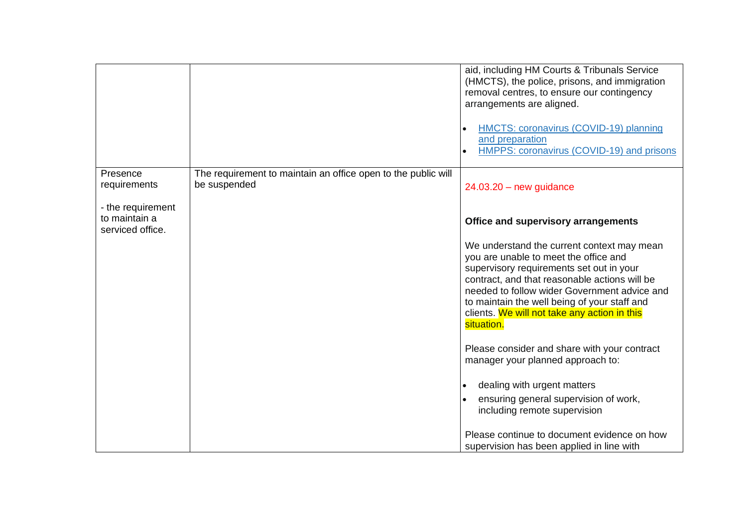|                                                        |                                                                               | aid, including HM Courts & Tribunals Service<br>(HMCTS), the police, prisons, and immigration<br>removal centres, to ensure our contingency<br>arrangements are aligned.<br>HMCTS: coronavirus (COVID-19) planning<br>and preparation<br>HMPPS: coronavirus (COVID-19) and prisons               |
|--------------------------------------------------------|-------------------------------------------------------------------------------|--------------------------------------------------------------------------------------------------------------------------------------------------------------------------------------------------------------------------------------------------------------------------------------------------|
| Presence<br>requirements                               | The requirement to maintain an office open to the public will<br>be suspended | $24.03.20 - new guidance$                                                                                                                                                                                                                                                                        |
| - the requirement<br>to maintain a<br>serviced office. |                                                                               | Office and supervisory arrangements<br>We understand the current context may mean                                                                                                                                                                                                                |
|                                                        |                                                                               | you are unable to meet the office and<br>supervisory requirements set out in your<br>contract, and that reasonable actions will be<br>needed to follow wider Government advice and<br>to maintain the well being of your staff and<br>clients. We will not take any action in this<br>situation. |
|                                                        |                                                                               | Please consider and share with your contract<br>manager your planned approach to:                                                                                                                                                                                                                |
|                                                        |                                                                               | dealing with urgent matters                                                                                                                                                                                                                                                                      |
|                                                        |                                                                               | ensuring general supervision of work,<br>including remote supervision                                                                                                                                                                                                                            |
|                                                        |                                                                               | Please continue to document evidence on how<br>supervision has been applied in line with                                                                                                                                                                                                         |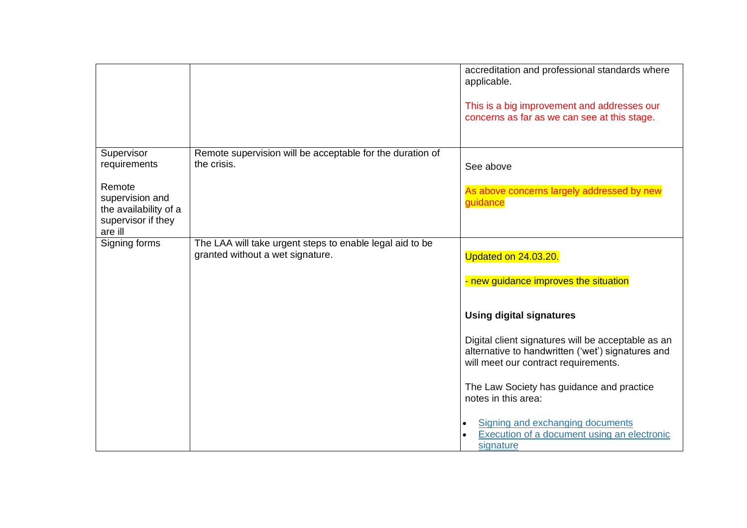|                                                                          | accreditation and professional standards where<br>applicable.<br>This is a big improvement and addresses our<br>concerns as far as we can see at this stage.                                                                                                                                                                                                                                               |
|--------------------------------------------------------------------------|------------------------------------------------------------------------------------------------------------------------------------------------------------------------------------------------------------------------------------------------------------------------------------------------------------------------------------------------------------------------------------------------------------|
| Remote supervision will be acceptable for the duration of<br>the crisis. | See above<br>As above concerns largely addressed by new<br>guidance                                                                                                                                                                                                                                                                                                                                        |
| granted without a wet signature.                                         | Updated on 24.03.20.<br>- new guidance improves the situation<br><b>Using digital signatures</b><br>Digital client signatures will be acceptable as an<br>alternative to handwritten ('wet') signatures and<br>will meet our contract requirements.<br>The Law Society has guidance and practice<br>notes in this area:<br>Signing and exchanging documents<br>Execution of a document using an electronic |
|                                                                          | The LAA will take urgent steps to enable legal aid to be                                                                                                                                                                                                                                                                                                                                                   |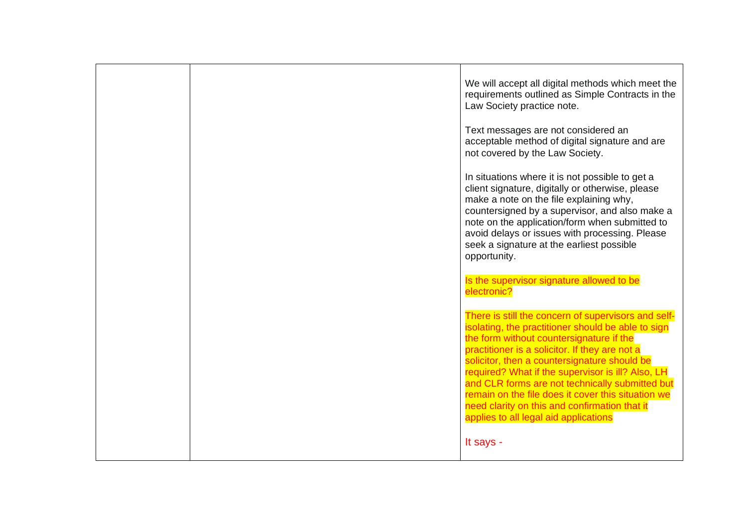|  | We will accept all digital methods which meet the<br>requirements outlined as Simple Contracts in the<br>Law Society practice note.                                                                                                                                                                                                                                                                                                                                                                             |
|--|-----------------------------------------------------------------------------------------------------------------------------------------------------------------------------------------------------------------------------------------------------------------------------------------------------------------------------------------------------------------------------------------------------------------------------------------------------------------------------------------------------------------|
|  | Text messages are not considered an<br>acceptable method of digital signature and are<br>not covered by the Law Society.                                                                                                                                                                                                                                                                                                                                                                                        |
|  | In situations where it is not possible to get a<br>client signature, digitally or otherwise, please<br>make a note on the file explaining why,<br>countersigned by a supervisor, and also make a<br>note on the application/form when submitted to<br>avoid delays or issues with processing. Please<br>seek a signature at the earliest possible<br>opportunity.                                                                                                                                               |
|  | Is the supervisor signature allowed to be<br>electronic?                                                                                                                                                                                                                                                                                                                                                                                                                                                        |
|  | There is still the concern of supervisors and self-<br>isolating, the practitioner should be able to sign<br>the form without countersignature if the<br>practitioner is a solicitor. If they are not a<br>solicitor, then a countersignature should be<br>required? What if the supervisor is ill? Also, LH<br>and CLR forms are not technically submitted but<br>remain on the file does it cover this situation we<br>need clarity on this and confirmation that it<br>applies to all legal aid applications |
|  | It says -                                                                                                                                                                                                                                                                                                                                                                                                                                                                                                       |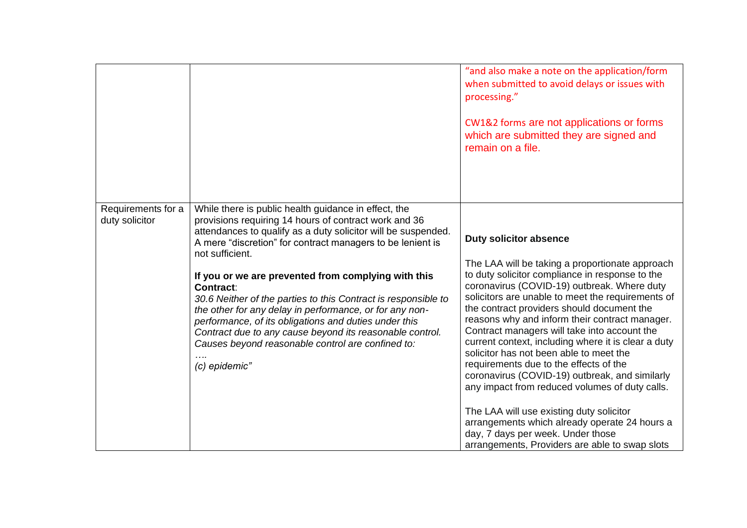|                                      |                                                                                                                                                                                                                                                                                                                                                                                                                                                                                                                                                                                                                                                                    | "and also make a note on the application/form<br>when submitted to avoid delays or issues with<br>processing."<br>CW1&2 forms are not applications or forms<br>which are submitted they are signed and<br>remain on a file.                                                                                                                                                                                                                                                                                                                                                           |
|--------------------------------------|--------------------------------------------------------------------------------------------------------------------------------------------------------------------------------------------------------------------------------------------------------------------------------------------------------------------------------------------------------------------------------------------------------------------------------------------------------------------------------------------------------------------------------------------------------------------------------------------------------------------------------------------------------------------|---------------------------------------------------------------------------------------------------------------------------------------------------------------------------------------------------------------------------------------------------------------------------------------------------------------------------------------------------------------------------------------------------------------------------------------------------------------------------------------------------------------------------------------------------------------------------------------|
|                                      |                                                                                                                                                                                                                                                                                                                                                                                                                                                                                                                                                                                                                                                                    |                                                                                                                                                                                                                                                                                                                                                                                                                                                                                                                                                                                       |
| Requirements for a<br>duty solicitor | While there is public health guidance in effect, the<br>provisions requiring 14 hours of contract work and 36<br>attendances to qualify as a duty solicitor will be suspended.<br>A mere "discretion" for contract managers to be lenient is<br>not sufficient.<br>If you or we are prevented from complying with this<br><b>Contract:</b><br>30.6 Neither of the parties to this Contract is responsible to<br>the other for any delay in performance, or for any non-<br>performance, of its obligations and duties under this<br>Contract due to any cause beyond its reasonable control.<br>Causes beyond reasonable control are confined to:<br>(c) epidemic" | <b>Duty solicitor absence</b><br>The LAA will be taking a proportionate approach<br>to duty solicitor compliance in response to the<br>coronavirus (COVID-19) outbreak. Where duty<br>solicitors are unable to meet the requirements of<br>the contract providers should document the<br>reasons why and inform their contract manager.<br>Contract managers will take into account the<br>current context, including where it is clear a duty<br>solicitor has not been able to meet the<br>requirements due to the effects of the<br>coronavirus (COVID-19) outbreak, and similarly |
|                                      |                                                                                                                                                                                                                                                                                                                                                                                                                                                                                                                                                                                                                                                                    | any impact from reduced volumes of duty calls.<br>The LAA will use existing duty solicitor<br>arrangements which already operate 24 hours a<br>day, 7 days per week. Under those<br>arrangements, Providers are able to swap slots                                                                                                                                                                                                                                                                                                                                                    |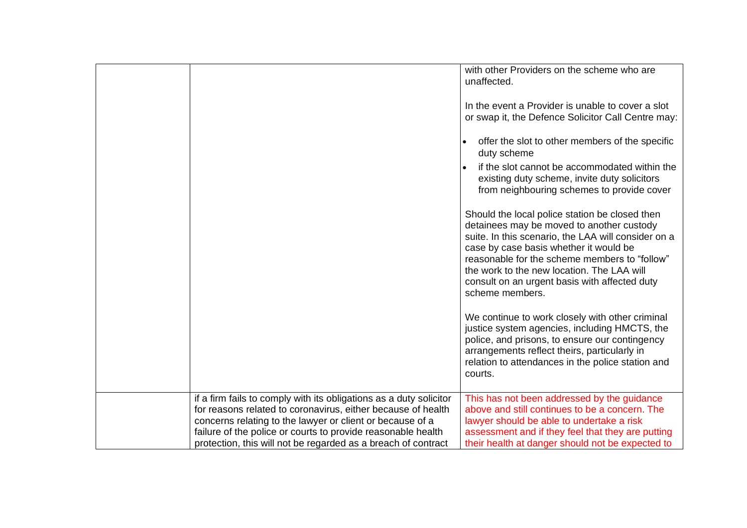|                                                                                                                                                                                                                                                                                                                                  | with other Providers on the scheme who are<br>unaffected.                                                                                                                                                                                                                                                                                                       |
|----------------------------------------------------------------------------------------------------------------------------------------------------------------------------------------------------------------------------------------------------------------------------------------------------------------------------------|-----------------------------------------------------------------------------------------------------------------------------------------------------------------------------------------------------------------------------------------------------------------------------------------------------------------------------------------------------------------|
|                                                                                                                                                                                                                                                                                                                                  | In the event a Provider is unable to cover a slot<br>or swap it, the Defence Solicitor Call Centre may:                                                                                                                                                                                                                                                         |
|                                                                                                                                                                                                                                                                                                                                  | offer the slot to other members of the specific<br>duty scheme                                                                                                                                                                                                                                                                                                  |
|                                                                                                                                                                                                                                                                                                                                  | if the slot cannot be accommodated within the<br>existing duty scheme, invite duty solicitors<br>from neighbouring schemes to provide cover                                                                                                                                                                                                                     |
|                                                                                                                                                                                                                                                                                                                                  | Should the local police station be closed then<br>detainees may be moved to another custody<br>suite. In this scenario, the LAA will consider on a<br>case by case basis whether it would be<br>reasonable for the scheme members to "follow"<br>the work to the new location. The LAA will<br>consult on an urgent basis with affected duty<br>scheme members. |
|                                                                                                                                                                                                                                                                                                                                  | We continue to work closely with other criminal<br>justice system agencies, including HMCTS, the<br>police, and prisons, to ensure our contingency<br>arrangements reflect theirs, particularly in<br>relation to attendances in the police station and<br>courts.                                                                                              |
| if a firm fails to comply with its obligations as a duty solicitor<br>for reasons related to coronavirus, either because of health<br>concerns relating to the lawyer or client or because of a<br>failure of the police or courts to provide reasonable health<br>protection, this will not be regarded as a breach of contract | This has not been addressed by the guidance<br>above and still continues to be a concern. The<br>lawyer should be able to undertake a risk<br>assessment and if they feel that they are putting<br>their health at danger should not be expected to                                                                                                             |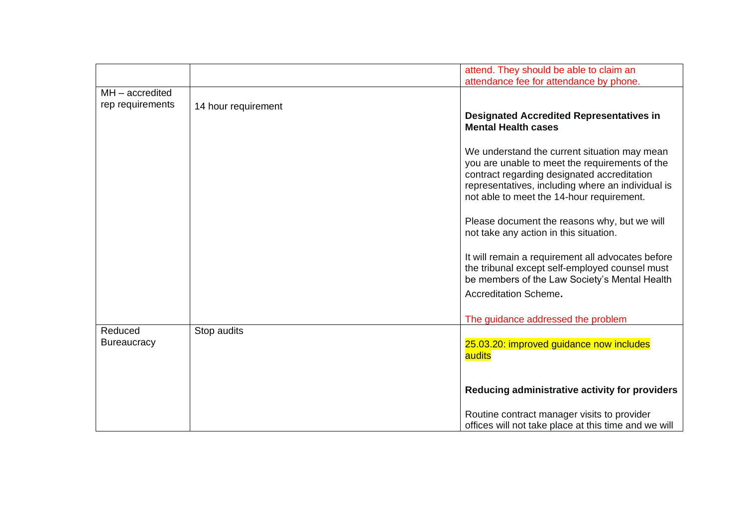| attend. They should be able to claim an<br>attendance fee for attendance by phone.<br>$MH - accredited$<br>rep requirements<br>14 hour requirement<br><b>Designated Accredited Representatives in</b><br><b>Mental Health cases</b><br>We understand the current situation may mean<br>you are unable to meet the requirements of the<br>contract regarding designated accreditation<br>representatives, including where an individual is<br>not able to meet the 14-hour requirement.<br>Please document the reasons why, but we will<br>not take any action in this situation.<br>It will remain a requirement all advocates before<br>the tribunal except self-employed counsel must |  |                                               |
|-----------------------------------------------------------------------------------------------------------------------------------------------------------------------------------------------------------------------------------------------------------------------------------------------------------------------------------------------------------------------------------------------------------------------------------------------------------------------------------------------------------------------------------------------------------------------------------------------------------------------------------------------------------------------------------------|--|-----------------------------------------------|
|                                                                                                                                                                                                                                                                                                                                                                                                                                                                                                                                                                                                                                                                                         |  |                                               |
|                                                                                                                                                                                                                                                                                                                                                                                                                                                                                                                                                                                                                                                                                         |  |                                               |
|                                                                                                                                                                                                                                                                                                                                                                                                                                                                                                                                                                                                                                                                                         |  |                                               |
|                                                                                                                                                                                                                                                                                                                                                                                                                                                                                                                                                                                                                                                                                         |  |                                               |
|                                                                                                                                                                                                                                                                                                                                                                                                                                                                                                                                                                                                                                                                                         |  |                                               |
|                                                                                                                                                                                                                                                                                                                                                                                                                                                                                                                                                                                                                                                                                         |  |                                               |
|                                                                                                                                                                                                                                                                                                                                                                                                                                                                                                                                                                                                                                                                                         |  |                                               |
|                                                                                                                                                                                                                                                                                                                                                                                                                                                                                                                                                                                                                                                                                         |  |                                               |
|                                                                                                                                                                                                                                                                                                                                                                                                                                                                                                                                                                                                                                                                                         |  |                                               |
|                                                                                                                                                                                                                                                                                                                                                                                                                                                                                                                                                                                                                                                                                         |  |                                               |
|                                                                                                                                                                                                                                                                                                                                                                                                                                                                                                                                                                                                                                                                                         |  |                                               |
|                                                                                                                                                                                                                                                                                                                                                                                                                                                                                                                                                                                                                                                                                         |  |                                               |
|                                                                                                                                                                                                                                                                                                                                                                                                                                                                                                                                                                                                                                                                                         |  |                                               |
|                                                                                                                                                                                                                                                                                                                                                                                                                                                                                                                                                                                                                                                                                         |  |                                               |
|                                                                                                                                                                                                                                                                                                                                                                                                                                                                                                                                                                                                                                                                                         |  |                                               |
|                                                                                                                                                                                                                                                                                                                                                                                                                                                                                                                                                                                                                                                                                         |  |                                               |
|                                                                                                                                                                                                                                                                                                                                                                                                                                                                                                                                                                                                                                                                                         |  |                                               |
|                                                                                                                                                                                                                                                                                                                                                                                                                                                                                                                                                                                                                                                                                         |  |                                               |
|                                                                                                                                                                                                                                                                                                                                                                                                                                                                                                                                                                                                                                                                                         |  |                                               |
|                                                                                                                                                                                                                                                                                                                                                                                                                                                                                                                                                                                                                                                                                         |  |                                               |
|                                                                                                                                                                                                                                                                                                                                                                                                                                                                                                                                                                                                                                                                                         |  | be members of the Law Society's Mental Health |
| Accreditation Scheme.                                                                                                                                                                                                                                                                                                                                                                                                                                                                                                                                                                                                                                                                   |  |                                               |
|                                                                                                                                                                                                                                                                                                                                                                                                                                                                                                                                                                                                                                                                                         |  |                                               |
| The guidance addressed the problem                                                                                                                                                                                                                                                                                                                                                                                                                                                                                                                                                                                                                                                      |  |                                               |
| Stop audits<br>Reduced                                                                                                                                                                                                                                                                                                                                                                                                                                                                                                                                                                                                                                                                  |  |                                               |
| <b>Bureaucracy</b><br>25.03.20: improved guidance now includes                                                                                                                                                                                                                                                                                                                                                                                                                                                                                                                                                                                                                          |  |                                               |
|                                                                                                                                                                                                                                                                                                                                                                                                                                                                                                                                                                                                                                                                                         |  |                                               |
| audits                                                                                                                                                                                                                                                                                                                                                                                                                                                                                                                                                                                                                                                                                  |  |                                               |
|                                                                                                                                                                                                                                                                                                                                                                                                                                                                                                                                                                                                                                                                                         |  |                                               |
|                                                                                                                                                                                                                                                                                                                                                                                                                                                                                                                                                                                                                                                                                         |  |                                               |
| Reducing administrative activity for providers                                                                                                                                                                                                                                                                                                                                                                                                                                                                                                                                                                                                                                          |  |                                               |
| Routine contract manager visits to provider                                                                                                                                                                                                                                                                                                                                                                                                                                                                                                                                                                                                                                             |  |                                               |
| offices will not take place at this time and we will                                                                                                                                                                                                                                                                                                                                                                                                                                                                                                                                                                                                                                    |  |                                               |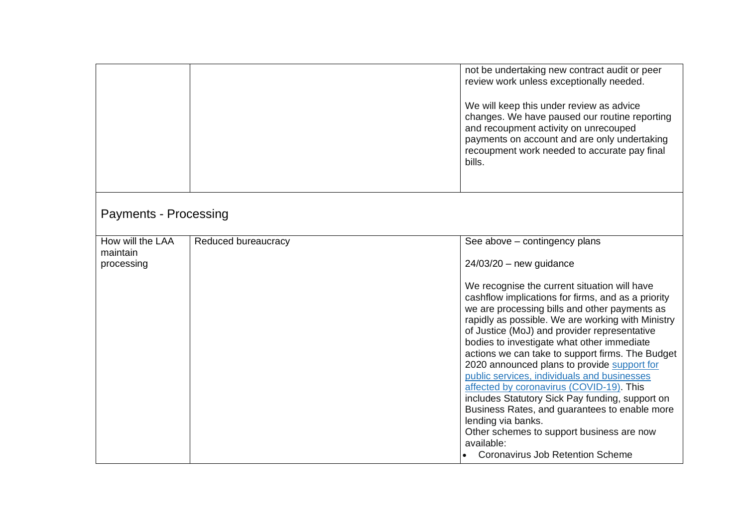|                                            |                     | not be undertaking new contract audit or peer<br>review work unless exceptionally needed.<br>We will keep this under review as advice<br>changes. We have paused our routine reporting<br>and recoupment activity on unrecouped<br>payments on account and are only undertaking<br>recoupment work needed to accurate pay final<br>bills.                                                                                                                                                                                                                                                                                                                                                                                                                                                   |
|--------------------------------------------|---------------------|---------------------------------------------------------------------------------------------------------------------------------------------------------------------------------------------------------------------------------------------------------------------------------------------------------------------------------------------------------------------------------------------------------------------------------------------------------------------------------------------------------------------------------------------------------------------------------------------------------------------------------------------------------------------------------------------------------------------------------------------------------------------------------------------|
| <b>Payments - Processing</b>               |                     |                                                                                                                                                                                                                                                                                                                                                                                                                                                                                                                                                                                                                                                                                                                                                                                             |
| How will the LAA<br>maintain<br>processing | Reduced bureaucracy | See above – contingency plans<br>$24/03/20$ – new guidance<br>We recognise the current situation will have<br>cashflow implications for firms, and as a priority<br>we are processing bills and other payments as<br>rapidly as possible. We are working with Ministry<br>of Justice (MoJ) and provider representative<br>bodies to investigate what other immediate<br>actions we can take to support firms. The Budget<br>2020 announced plans to provide support for<br>public services, individuals and businesses<br>affected by coronavirus (COVID-19). This<br>includes Statutory Sick Pay funding, support on<br>Business Rates, and guarantees to enable more<br>lending via banks.<br>Other schemes to support business are now<br>available:<br>Coronavirus Job Retention Scheme |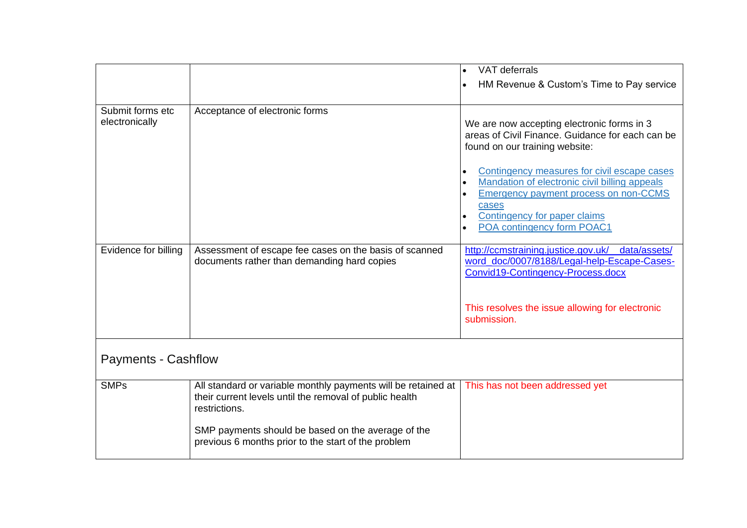|                                    |                                                                                                                                           | VAT deferrals                                                                                                                                                                                                       |
|------------------------------------|-------------------------------------------------------------------------------------------------------------------------------------------|---------------------------------------------------------------------------------------------------------------------------------------------------------------------------------------------------------------------|
|                                    |                                                                                                                                           | HM Revenue & Custom's Time to Pay service                                                                                                                                                                           |
|                                    |                                                                                                                                           |                                                                                                                                                                                                                     |
| Submit forms etc<br>electronically | Acceptance of electronic forms                                                                                                            | We are now accepting electronic forms in 3<br>areas of Civil Finance. Guidance for each can be<br>found on our training website:                                                                                    |
|                                    |                                                                                                                                           | Contingency measures for civil escape cases<br>Mandation of electronic civil billing appeals<br><b>Emergency payment process on non-CCMS</b><br>cases<br>Contingency for paper claims<br>POA contingency form POAC1 |
| Evidence for billing               | Assessment of escape fee cases on the basis of scanned<br>documents rather than demanding hard copies                                     | http://ccmstraining.justice.gov.uk/<br>data/assets/<br>word_doc/0007/8188/Legal-help-Escape-Cases-<br>Convid19-Contingency-Process.docx                                                                             |
|                                    |                                                                                                                                           | This resolves the issue allowing for electronic<br>submission.                                                                                                                                                      |
| <b>Payments - Cashflow</b>         |                                                                                                                                           |                                                                                                                                                                                                                     |
| <b>SMPs</b>                        | All standard or variable monthly payments will be retained at<br>their current levels until the removal of public health<br>restrictions. | This has not been addressed yet                                                                                                                                                                                     |
|                                    | SMP payments should be based on the average of the<br>previous 6 months prior to the start of the problem                                 |                                                                                                                                                                                                                     |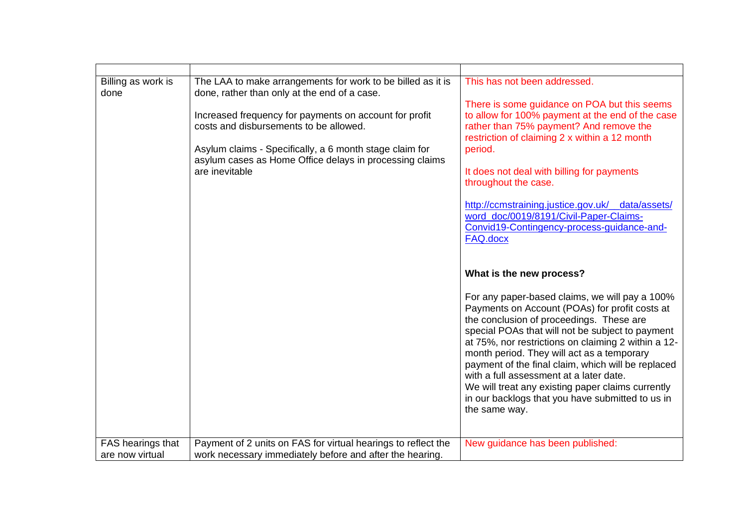| The LAA to make arrangements for work to be billed as it is<br>This has not been addressed.<br>done, rather than only at the end of a case.<br>There is some guidance on POA but this seems<br>Increased frequency for payments on account for profit<br>to allow for 100% payment at the end of the case<br>costs and disbursements to be allowed.<br>rather than 75% payment? And remove the<br>restriction of claiming 2 x within a 12 month<br>Asylum claims - Specifically, a 6 month stage claim for<br>period.<br>asylum cases as Home Office delays in processing claims<br>are inevitable<br>It does not deal with billing for payments<br>throughout the case.<br>http://ccmstraining.justice.gov.uk/ data/assets/<br>word doc/0019/8191/Civil-Paper-Claims-<br>Convid19-Contingency-process-guidance-and-<br>FAQ.docx<br>What is the new process?<br>For any paper-based claims, we will pay a 100%<br>Payments on Account (POAs) for profit costs at<br>the conclusion of proceedings. These are<br>special POAs that will not be subject to payment<br>at 75%, nor restrictions on claiming 2 within a 12- |                            |                                            |
|-------------------------------------------------------------------------------------------------------------------------------------------------------------------------------------------------------------------------------------------------------------------------------------------------------------------------------------------------------------------------------------------------------------------------------------------------------------------------------------------------------------------------------------------------------------------------------------------------------------------------------------------------------------------------------------------------------------------------------------------------------------------------------------------------------------------------------------------------------------------------------------------------------------------------------------------------------------------------------------------------------------------------------------------------------------------------------------------------------------------------|----------------------------|--------------------------------------------|
| payment of the final claim, which will be replaced<br>with a full assessment at a later date.<br>We will treat any existing paper claims currently<br>in our backlogs that you have submitted to us in<br>the same way.                                                                                                                                                                                                                                                                                                                                                                                                                                                                                                                                                                                                                                                                                                                                                                                                                                                                                                 | Billing as work is<br>done | month period. They will act as a temporary |
| Payment of 2 units on FAS for virtual hearings to reflect the<br>New guidance has been published:                                                                                                                                                                                                                                                                                                                                                                                                                                                                                                                                                                                                                                                                                                                                                                                                                                                                                                                                                                                                                       | FAS hearings that          |                                            |
| work necessary immediately before and after the hearing.                                                                                                                                                                                                                                                                                                                                                                                                                                                                                                                                                                                                                                                                                                                                                                                                                                                                                                                                                                                                                                                                | are now virtual            |                                            |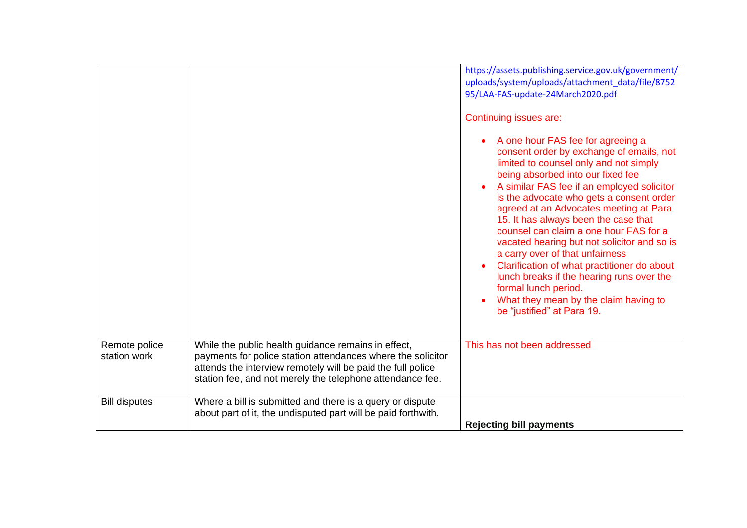|                               |                                                                                                                                                                                                                                                | https://assets.publishing.service.gov.uk/government/<br>uploads/system/uploads/attachment data/file/8752<br>95/LAA-FAS-update-24March2020.pdf<br>Continuing issues are:<br>A one hour FAS fee for agreeing a<br>consent order by exchange of emails, not<br>limited to counsel only and not simply<br>being absorbed into our fixed fee<br>A similar FAS fee if an employed solicitor<br>is the advocate who gets a consent order<br>agreed at an Advocates meeting at Para<br>15. It has always been the case that<br>counsel can claim a one hour FAS for a<br>vacated hearing but not solicitor and so is<br>a carry over of that unfairness<br>Clarification of what practitioner do about<br>lunch breaks if the hearing runs over the<br>formal lunch period.<br>What they mean by the claim having to<br>be "justified" at Para 19. |
|-------------------------------|------------------------------------------------------------------------------------------------------------------------------------------------------------------------------------------------------------------------------------------------|--------------------------------------------------------------------------------------------------------------------------------------------------------------------------------------------------------------------------------------------------------------------------------------------------------------------------------------------------------------------------------------------------------------------------------------------------------------------------------------------------------------------------------------------------------------------------------------------------------------------------------------------------------------------------------------------------------------------------------------------------------------------------------------------------------------------------------------------|
| Remote police<br>station work | While the public health guidance remains in effect,<br>payments for police station attendances where the solicitor<br>attends the interview remotely will be paid the full police<br>station fee, and not merely the telephone attendance fee. | This has not been addressed                                                                                                                                                                                                                                                                                                                                                                                                                                                                                                                                                                                                                                                                                                                                                                                                                |
| <b>Bill disputes</b>          | Where a bill is submitted and there is a query or dispute<br>about part of it, the undisputed part will be paid forthwith.                                                                                                                     | <b>Rejecting bill payments</b>                                                                                                                                                                                                                                                                                                                                                                                                                                                                                                                                                                                                                                                                                                                                                                                                             |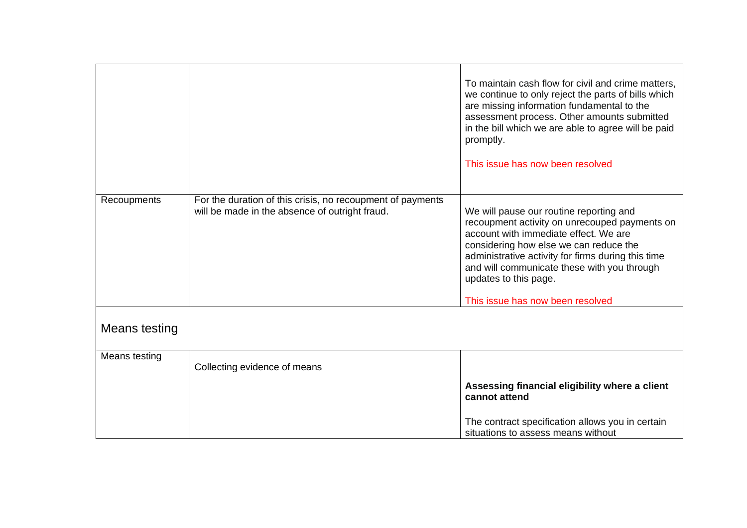|               |                                                                                                              | To maintain cash flow for civil and crime matters,<br>we continue to only reject the parts of bills which<br>are missing information fundamental to the<br>assessment process. Other amounts submitted<br>in the bill which we are able to agree will be paid<br>promptly.<br>This issue has now been resolved                                |
|---------------|--------------------------------------------------------------------------------------------------------------|-----------------------------------------------------------------------------------------------------------------------------------------------------------------------------------------------------------------------------------------------------------------------------------------------------------------------------------------------|
| Recoupments   | For the duration of this crisis, no recoupment of payments<br>will be made in the absence of outright fraud. | We will pause our routine reporting and<br>recoupment activity on unrecouped payments on<br>account with immediate effect. We are<br>considering how else we can reduce the<br>administrative activity for firms during this time<br>and will communicate these with you through<br>updates to this page.<br>This issue has now been resolved |
| Means testing |                                                                                                              |                                                                                                                                                                                                                                                                                                                                               |
| Means testing | Collecting evidence of means                                                                                 |                                                                                                                                                                                                                                                                                                                                               |
|               |                                                                                                              | Assessing financial eligibility where a client<br>cannot attend                                                                                                                                                                                                                                                                               |
|               |                                                                                                              | The contract specification allows you in certain<br>situations to assess means without                                                                                                                                                                                                                                                        |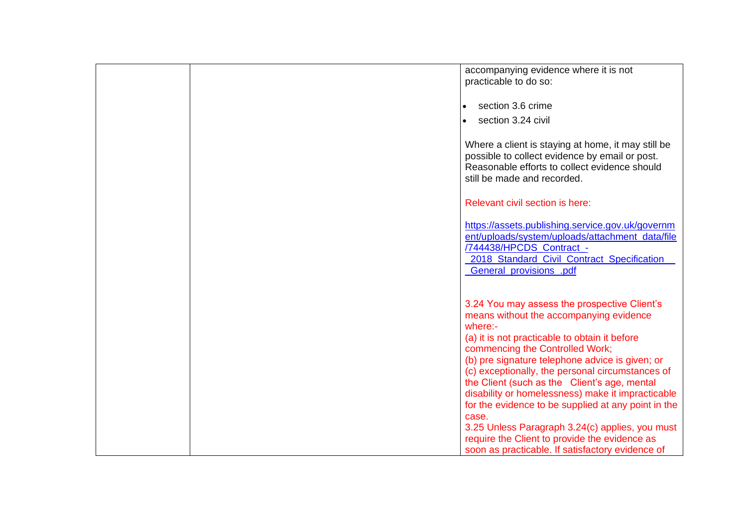|  | accompanying evidence where it is not<br>practicable to do so:                                                                                                                                                                                                                                                                                                                                                                                                     |
|--|--------------------------------------------------------------------------------------------------------------------------------------------------------------------------------------------------------------------------------------------------------------------------------------------------------------------------------------------------------------------------------------------------------------------------------------------------------------------|
|  | section 3.6 crime<br>$\bullet$                                                                                                                                                                                                                                                                                                                                                                                                                                     |
|  | section 3.24 civil<br>$\bullet$                                                                                                                                                                                                                                                                                                                                                                                                                                    |
|  | Where a client is staying at home, it may still be<br>possible to collect evidence by email or post.<br>Reasonable efforts to collect evidence should<br>still be made and recorded.                                                                                                                                                                                                                                                                               |
|  | Relevant civil section is here:                                                                                                                                                                                                                                                                                                                                                                                                                                    |
|  | https://assets.publishing.service.gov.uk/governm<br>ent/uploads/system/uploads/attachment_data/file<br>/744438/HPCDS Contract -<br>2018 Standard Civil Contract Specification<br><b>General_provisions_.pdf</b>                                                                                                                                                                                                                                                    |
|  | 3.24 You may assess the prospective Client's<br>means without the accompanying evidence<br>where:-<br>(a) it is not practicable to obtain it before<br>commencing the Controlled Work;<br>(b) pre signature telephone advice is given; or<br>(c) exceptionally, the personal circumstances of<br>the Client (such as the Client's age, mental<br>disability or homelessness) make it impracticable<br>for the evidence to be supplied at any point in the<br>case. |
|  | 3.25 Unless Paragraph 3.24(c) applies, you must<br>require the Client to provide the evidence as                                                                                                                                                                                                                                                                                                                                                                   |
|  | soon as practicable. If satisfactory evidence of                                                                                                                                                                                                                                                                                                                                                                                                                   |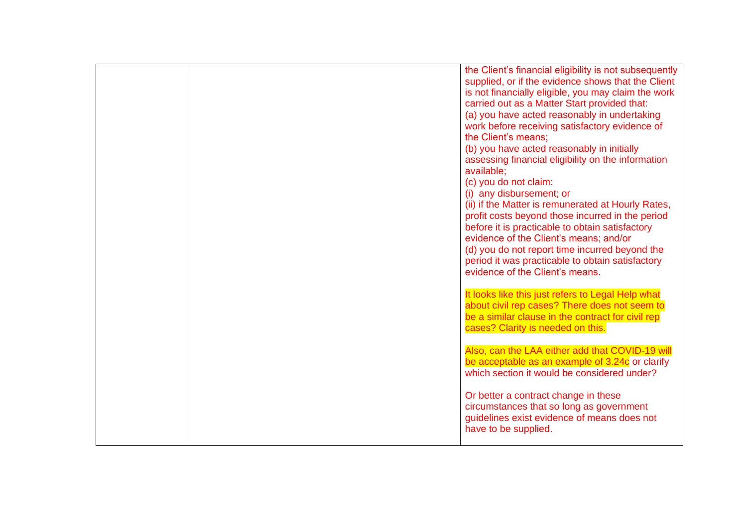|  | the Client's financial eligibility is not subsequently<br>supplied, or if the evidence shows that the Client<br>is not financially eligible, you may claim the work<br>carried out as a Matter Start provided that:<br>(a) you have acted reasonably in undertaking<br>work before receiving satisfactory evidence of<br>the Client's means;<br>(b) you have acted reasonably in initially<br>assessing financial eligibility on the information<br>available;<br>(c) you do not claim:<br>(i) any disbursement; or<br>(ii) if the Matter is remunerated at Hourly Rates,<br>profit costs beyond those incurred in the period<br>before it is practicable to obtain satisfactory<br>evidence of the Client's means; and/or |
|--|----------------------------------------------------------------------------------------------------------------------------------------------------------------------------------------------------------------------------------------------------------------------------------------------------------------------------------------------------------------------------------------------------------------------------------------------------------------------------------------------------------------------------------------------------------------------------------------------------------------------------------------------------------------------------------------------------------------------------|
|  | (d) you do not report time incurred beyond the<br>period it was practicable to obtain satisfactory<br>evidence of the Client's means.                                                                                                                                                                                                                                                                                                                                                                                                                                                                                                                                                                                      |
|  | It looks like this just refers to Legal Help what<br>about civil rep cases? There does not seem to<br>be a similar clause in the contract for civil rep<br>cases? Clarity is needed on this.                                                                                                                                                                                                                                                                                                                                                                                                                                                                                                                               |
|  | Also, can the LAA either add that COVID-19 will<br>be acceptable as an example of 3.24c or clarify<br>which section it would be considered under?                                                                                                                                                                                                                                                                                                                                                                                                                                                                                                                                                                          |
|  | Or better a contract change in these<br>circumstances that so long as government<br>guidelines exist evidence of means does not<br>have to be supplied.                                                                                                                                                                                                                                                                                                                                                                                                                                                                                                                                                                    |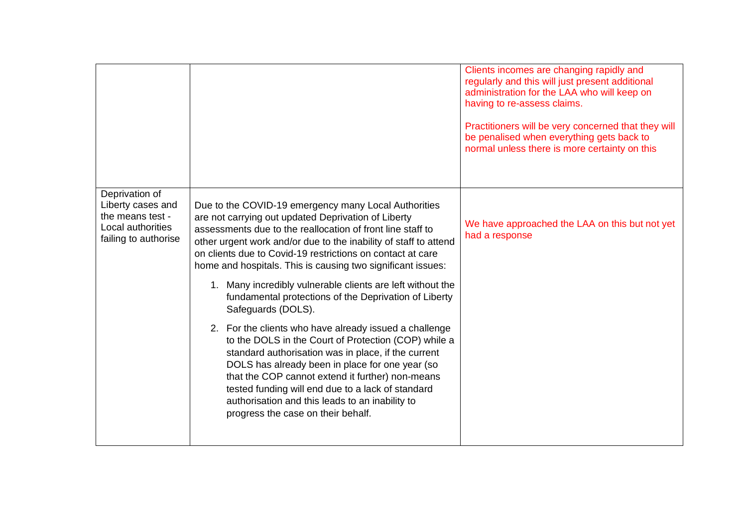|                                                                                                      |                                                                                                                                                                                                                                                                                                                                                                                                                                                                                                                                                                            | Clients incomes are changing rapidly and<br>regularly and this will just present additional<br>administration for the LAA who will keep on<br>having to re-assess claims.<br>Practitioners will be very concerned that they will<br>be penalised when everything gets back to<br>normal unless there is more certainty on this |
|------------------------------------------------------------------------------------------------------|----------------------------------------------------------------------------------------------------------------------------------------------------------------------------------------------------------------------------------------------------------------------------------------------------------------------------------------------------------------------------------------------------------------------------------------------------------------------------------------------------------------------------------------------------------------------------|--------------------------------------------------------------------------------------------------------------------------------------------------------------------------------------------------------------------------------------------------------------------------------------------------------------------------------|
| Deprivation of<br>Liberty cases and<br>the means test -<br>Local authorities<br>failing to authorise | Due to the COVID-19 emergency many Local Authorities<br>are not carrying out updated Deprivation of Liberty<br>assessments due to the reallocation of front line staff to<br>other urgent work and/or due to the inability of staff to attend<br>on clients due to Covid-19 restrictions on contact at care<br>home and hospitals. This is causing two significant issues:                                                                                                                                                                                                 | We have approached the LAA on this but not yet<br>had a response                                                                                                                                                                                                                                                               |
|                                                                                                      | Many incredibly vulnerable clients are left without the<br>1.<br>fundamental protections of the Deprivation of Liberty<br>Safeguards (DOLS).<br>2. For the clients who have already issued a challenge<br>to the DOLS in the Court of Protection (COP) while a<br>standard authorisation was in place, if the current<br>DOLS has already been in place for one year (so<br>that the COP cannot extend it further) non-means<br>tested funding will end due to a lack of standard<br>authorisation and this leads to an inability to<br>progress the case on their behalf. |                                                                                                                                                                                                                                                                                                                                |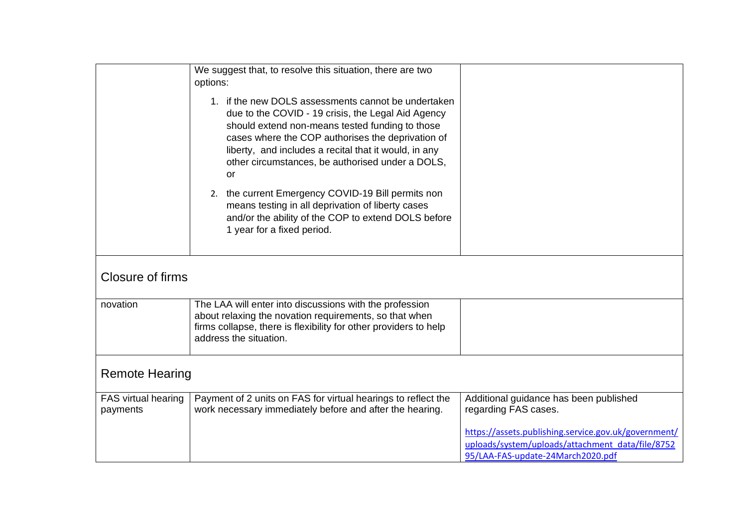|                                 | We suggest that, to resolve this situation, there are two<br>options:                                                                                                                                                                                                                                                                       |                                                                                                                                               |
|---------------------------------|---------------------------------------------------------------------------------------------------------------------------------------------------------------------------------------------------------------------------------------------------------------------------------------------------------------------------------------------|-----------------------------------------------------------------------------------------------------------------------------------------------|
|                                 | 1. if the new DOLS assessments cannot be undertaken<br>due to the COVID - 19 crisis, the Legal Aid Agency<br>should extend non-means tested funding to those<br>cases where the COP authorises the deprivation of<br>liberty, and includes a recital that it would, in any<br>other circumstances, be authorised under a DOLS,<br><b>or</b> |                                                                                                                                               |
|                                 | 2. the current Emergency COVID-19 Bill permits non<br>means testing in all deprivation of liberty cases<br>and/or the ability of the COP to extend DOLS before<br>1 year for a fixed period.                                                                                                                                                |                                                                                                                                               |
| Closure of firms                |                                                                                                                                                                                                                                                                                                                                             |                                                                                                                                               |
| novation                        | The LAA will enter into discussions with the profession<br>about relaxing the novation requirements, so that when<br>firms collapse, there is flexibility for other providers to help<br>address the situation.                                                                                                                             |                                                                                                                                               |
| <b>Remote Hearing</b>           |                                                                                                                                                                                                                                                                                                                                             |                                                                                                                                               |
| FAS virtual hearing<br>payments | Payment of 2 units on FAS for virtual hearings to reflect the<br>work necessary immediately before and after the hearing.                                                                                                                                                                                                                   | Additional guidance has been published<br>regarding FAS cases.                                                                                |
|                                 |                                                                                                                                                                                                                                                                                                                                             | https://assets.publishing.service.gov.uk/government/<br>uploads/system/uploads/attachment_data/file/8752<br>95/LAA-FAS-update-24March2020.pdf |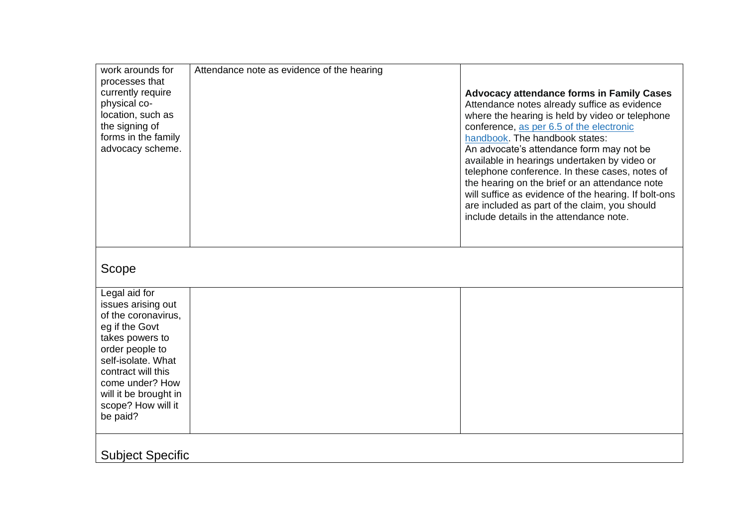| work arounds for<br>processes that<br>currently require<br>physical co-<br>location, such as<br>the signing of<br>forms in the family<br>advocacy scheme.                                                                                    | Attendance note as evidence of the hearing | <b>Advocacy attendance forms in Family Cases</b><br>Attendance notes already suffice as evidence<br>where the hearing is held by video or telephone<br>conference, as per 6.5 of the electronic<br>handbook. The handbook states:<br>An advocate's attendance form may not be<br>available in hearings undertaken by video or<br>telephone conference. In these cases, notes of<br>the hearing on the brief or an attendance note<br>will suffice as evidence of the hearing. If bolt-ons<br>are included as part of the claim, you should<br>include details in the attendance note. |
|----------------------------------------------------------------------------------------------------------------------------------------------------------------------------------------------------------------------------------------------|--------------------------------------------|---------------------------------------------------------------------------------------------------------------------------------------------------------------------------------------------------------------------------------------------------------------------------------------------------------------------------------------------------------------------------------------------------------------------------------------------------------------------------------------------------------------------------------------------------------------------------------------|
| Scope                                                                                                                                                                                                                                        |                                            |                                                                                                                                                                                                                                                                                                                                                                                                                                                                                                                                                                                       |
| Legal aid for<br>issues arising out<br>of the coronavirus,<br>eg if the Govt<br>takes powers to<br>order people to<br>self-isolate. What<br>contract will this<br>come under? How<br>will it be brought in<br>scope? How will it<br>be paid? |                                            |                                                                                                                                                                                                                                                                                                                                                                                                                                                                                                                                                                                       |
| <b>Subject Specific</b>                                                                                                                                                                                                                      |                                            |                                                                                                                                                                                                                                                                                                                                                                                                                                                                                                                                                                                       |